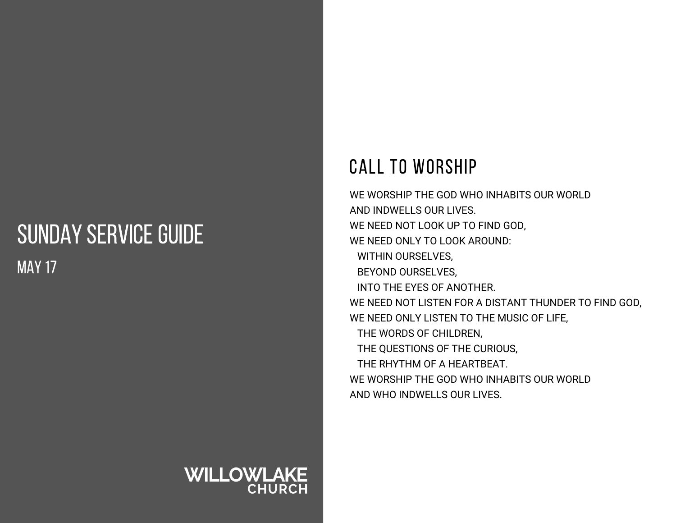## SUNDAY SERVICE GUIDE MAY 17

#### CALL TO WORSHIP

WE WORSHIP THE GOD WHO INHABITS OUR WORLD AND INDWELLS OUR LIVES. WE NEED NOT LOOK UP TO FIND GOD, WE NEED ONLY TO LOOK AROUND: WITHIN OURSELVES, BEYOND OURSELVES, INTO THE EYES OF ANOTHER. WE NEED NOT LISTEN FOR A DISTANT THUNDER TO FIND GOD, WE NEED ONLY LISTEN TO THE MUSIC OF LIFE, THE WORDS OF CHILDREN, THE QUESTIONS OF THE CURIOUS, THE RHYTHM OF A HEARTBEAT. WE WORSHIP THE GOD WHO INHABITS OUR WORLD AND WHO INDWELLS OUR LIVES.

# **WILLOWLAKE**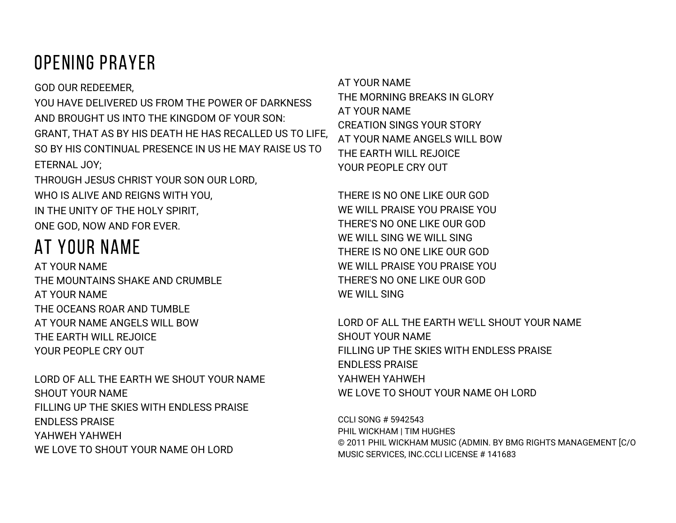## OPENING PRAYER

GOD OUR REDEEMER, YOU HAVE DELIVERED US FROM THE POWER OF DARKNESS AND BROUGHT US INTO THE KINGDOM OF YOUR SON: GRANT, THAT AS BY HIS DEATH HE HAS RECALLED US TO LIFE, SO BY HIS CONTINUAL PRESENCE IN US HE MAY RAISE US TO ETERNAL JOY;

THROUGH JESUS CHRIST YOUR SON OUR LORD, WHO IS ALIVE AND REIGNS WITH YOU, IN THE UNITY OF THE HOLY SPIRIT, ONE GOD, NOW AND FOR EVER.

## AT YOUR NAME

AT YOUR NAME THE MOUNTAINS SHAKE AND CRUMBLE AT YOUR NAME THE OCEANS ROAR AND TUMBLE AT YOUR NAME ANGELS WILL BOW THE EARTH WILL REJOICE YOUR PEOPLE CRY OUT

LORD OF ALL THE EARTH WE SHOUT YOUR NAME SHOUT YOUR NAME FILLING UP THE SKIES WITH ENDLESS PRAISE ENDLESS PRAISE YAHWEH YAHWEH WE LOVE TO SHOUT YOUR NAME OH LORD

AT YOUR NAME THE MORNING BREAKS IN GLORY AT YOUR NAME CREATION SINGS YOUR STORY AT YOUR NAME ANGELS WILL BOW THE EARTH WILL REJOICE YOUR PEOPLE CRY OUT

THERE IS NO ONE LIKE OUR GOD WE WILL PRAISE YOU PRAISE YOU THERE'S NO ONE LIKE OUR GOD WE WILL SING WE WILL SING THERE IS NO ONE LIKE OUR GOD WE WILL PRAISE YOU PRAISE YOU THERE'S NO ONE LIKE OUR GOD WE WILL SING

LORD OF ALL THE EARTH WE'LL SHOUT YOUR NAME SHOUT YOUR NAME FILLING UP THE SKIES WITH ENDLESS PRAISE ENDLESS PRAISE YAHWEH YAHWEH WE LOVE TO SHOUT YOUR NAME OH LORD

CCLI SONG # 5942543 PHIL WICKHAM | TIM HUGHES © 2011 PHIL WICKHAM MUSIC (ADMIN. BY BMG RIGHTS MANAGEMENT [C/O MUSIC SERVICES, INC.CCLI LICENSE # 141683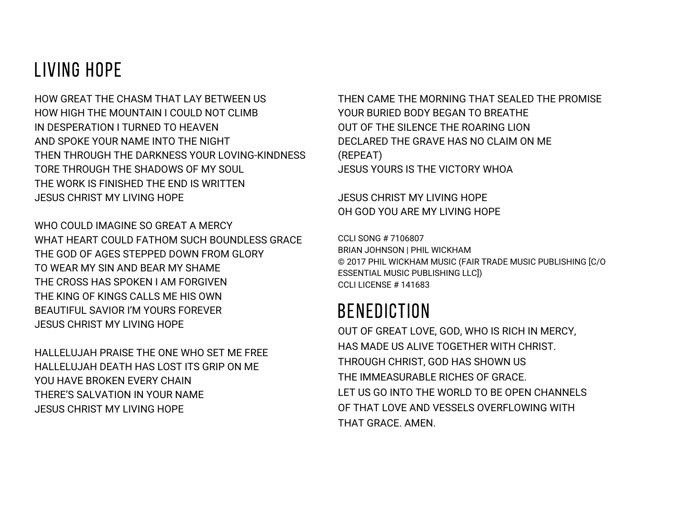### LIVING HOPE

HOW GREAT THE CHASM THAT LAY BETWEEN US HOW HIGH THE MOUNTAIN LCOULD NOT CLIMB IN DESPERATION I TURNED TO HEAVEN AND SPOKE YOUR NAME INTO THE NIGHT THEN THROUGH THE DARKNESS YOUR LOVING-KINDNESS TORE THROUGH THE SHADOWS OF MY SOUL THE WORK IS FINISHED THE END IS WRITTEN JESUS CHRIST MY LIVING HOPE

WHO COULD IMAGINE SO GREAT A MERCY WHAT HEART COULD FATHOM SUCH BOUNDLESS GRACE THE GOD OF AGES STEPPED DOWN FROM GLORY TO WEAR MY SIN AND BEAR MY SHAME THE CROSS HAS SPOKEN I AM FORGIVEN THE KING OF KINGS CALLS ME HIS OWN BEAUTIFUL SAVIOR I'M YOURS FOREVER JESUS CHRIST MY LIVING HOPE

HALLELUJAH PRAISE THE ONE WHO SET ME FREE HALLELUJAH DEATH HAS LOST ITS GRIP ON ME YOU HAVE BROKEN EVERY CHAIN THERE'S SALVATION IN YOUR NAME JESUS CHRIST MY LIVING HOPE

THEN CAME THE MORNING THAT SEALED THE PROMISE YOUR BURIED BODY BEGAN TO BREATHE OUT OF THE SILENCE THE ROARING LION DECLARED THE GRAVE HAS NO CLAIM ON ME (REPEAT) JESUS YOURS IS THE VICTORY WHOA

JESUS CHRIST MY LIVING HOPE OH GOD YOU ARE MY LIVING HOPE

CCLI SONG # 7106807 BRIAN JOHNSON | PHIL WICKHAM © 2017 PHIL WICKHAM MUSIC (FAIR TRADE MUSIC PUBLISHING [C/O ESSENTIAL MUSIC PUBLISHING LLC]) CCLI LICENSE # 141683

#### BENEDICTION

OUT OF GREAT LOVE, GOD, WHO IS RICH IN MERCY, HAS MADE US ALIVE TOGETHER WITH CHRIST. THROUGH CHRIST, GOD HAS SHOWN US THE IMMEASURABLE RICHES OF GRACE. LET US GO INTO THE WORLD TO BE OPEN CHANNELS OF THAT LOVE AND VESSELS OVERELOWING WITH THAT GRACE. AMEN.